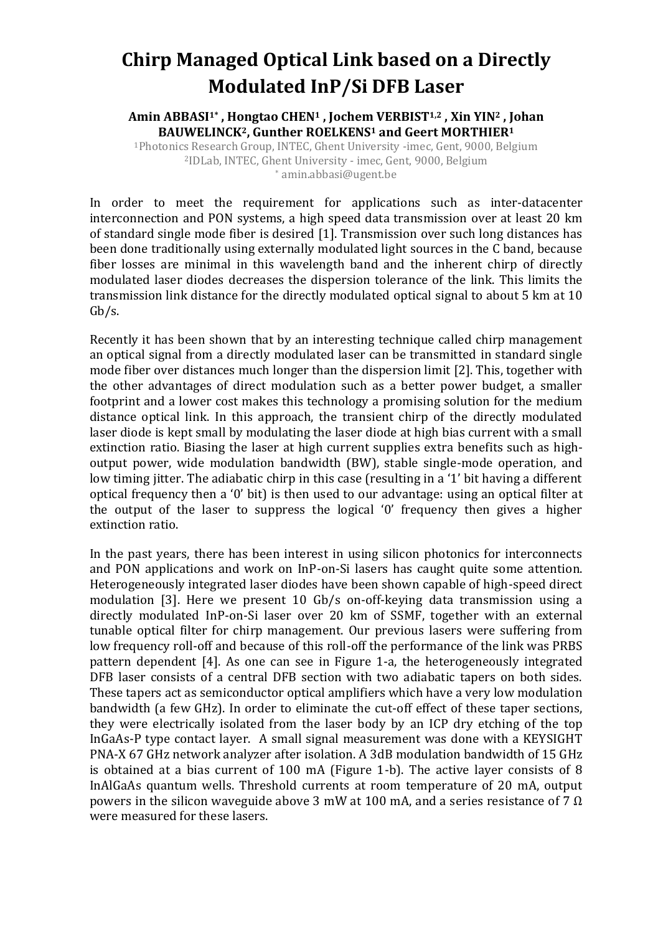## **Chirp Managed Optical Link based on a Directly Modulated InP/Si DFB Laser**

**Amin ABBASI1\* , Hongtao CHEN<sup>1</sup> , Jochem VERBIST1,2 , Xin YIN<sup>2</sup> , Johan BAUWELINCK2, Gunther ROELKENS<sup>1</sup> and Geert MORTHIER<sup>1</sup>**

<sup>1</sup>Photonics Research Group, INTEC, Ghent University -imec, Gent, 9000, Belgium <sup>2</sup>IDLab, INTEC, Ghent University - imec, Gent, 9000, Belgium \* amin.abbasi@ugent.be

In order to meet the requirement for applications such as inter-datacenter interconnection and PON systems, a high speed data transmission over at least 20 km of standard single mode fiber is desired [1]. Transmission over such long distances has been done traditionally using externally modulated light sources in the C band, because fiber losses are minimal in this wavelength band and the inherent chirp of directly modulated laser diodes decreases the dispersion tolerance of the link. This limits the transmission link distance for the directly modulated optical signal to about 5 km at 10 Gb/s.

Recently it has been shown that by an interesting technique called chirp management an optical signal from a directly modulated laser can be transmitted in standard single mode fiber over distances much longer than the dispersion limit [2]. This, together with the other advantages of direct modulation such as a better power budget, a smaller footprint and a lower cost makes this technology a promising solution for the medium distance optical link. In this approach, the transient chirp of the directly modulated laser diode is kept small by modulating the laser diode at high bias current with a small extinction ratio. Biasing the laser at high current supplies extra benefits such as highoutput power, wide modulation bandwidth (BW), stable single-mode operation, and low timing jitter. The adiabatic chirp in this case (resulting in a '1' bit having a different optical frequency then a '0' bit) is then used to our advantage: using an optical filter at the output of the laser to suppress the logical '0' frequency then gives a higher extinction ratio.

In the past years, there has been interest in using silicon photonics for interconnects and PON applications and work on InP-on-Si lasers has caught quite some attention. Heterogeneously integrated laser diodes have been shown capable of high-speed direct modulation [3]. Here we present 10 Gb/s on-off-keying data transmission using a directly modulated InP-on-Si laser over 20 km of SSMF, together with an external tunable optical filter for chirp management. Our previous lasers were suffering from low frequency roll-off and because of this roll-off the performance of the link was PRBS pattern dependent [4]. As one can see in Figure 1-a, the heterogeneously integrated DFB laser consists of a central DFB section with two adiabatic tapers on both sides. These tapers act as semiconductor optical amplifiers which have a very low modulation bandwidth (a few GHz). In order to eliminate the cut-off effect of these taper sections, they were electrically isolated from the laser body by an ICP dry etching of the top InGaAs-P type contact layer. A small signal measurement was done with a KEYSIGHT PNA-X 67 GHz network analyzer after isolation. A 3dB modulation bandwidth of 15 GHz is obtained at a bias current of 100 mA (Figure 1-b). The active layer consists of 8 InAlGaAs quantum wells. Threshold currents at room temperature of 20 mA, output powers in the silicon waveguide above 3 mW at 100 mA, and a series resistance of 7  $\Omega$ were measured for these lasers.